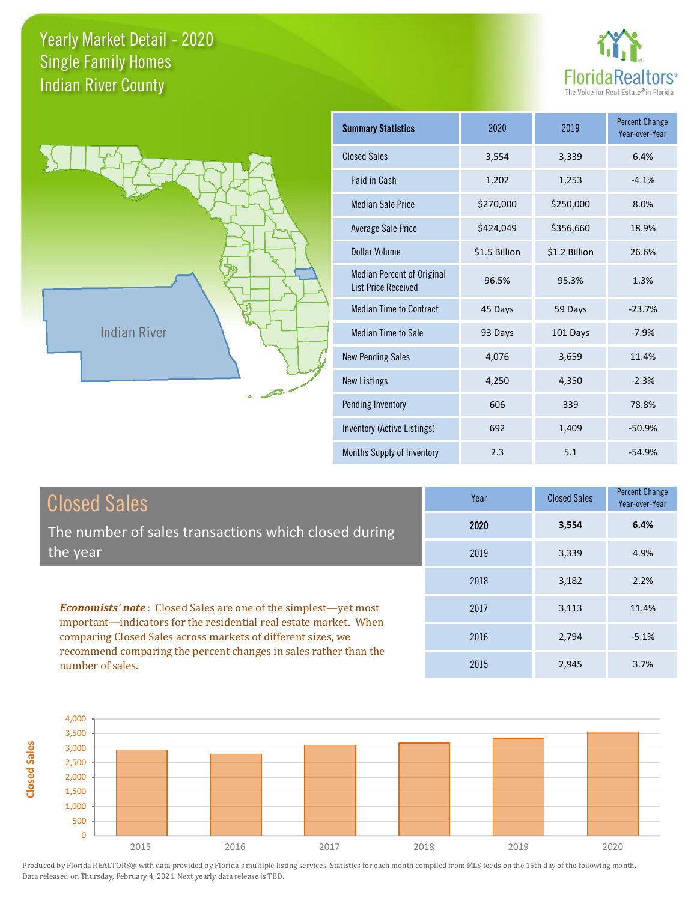



| <b>Summary Statistics</b>                                       | 2020          | 2019          | <b>Percent Change</b><br>Year-over-Year |
|-----------------------------------------------------------------|---------------|---------------|-----------------------------------------|
| <b>Closed Sales</b>                                             | 3,554         | 3,339         | 6.4%                                    |
| Paid in Cash                                                    | 1,202         | 1,253         | $-4.1%$                                 |
| <b>Median Sale Price</b>                                        | \$270,000     | \$250,000     | 8.0%                                    |
| Average Sale Price                                              | \$424,049     | \$356,660     | 18.9%                                   |
| Dollar Volume                                                   | \$1.5 Billion | \$1.2 Billion | 26.6%                                   |
| <b>Median Percent of Original</b><br><b>List Price Received</b> | 96.5%         | 95.3%         | 1.3%                                    |
| <b>Median Time to Contract</b>                                  | 45 Days       | 59 Days       | $-23.7%$                                |
| <b>Median Time to Sale</b>                                      | 93 Days       | 101 Days      | $-7.9%$                                 |
| <b>New Pending Sales</b>                                        | 4,076         | 3,659         | 11.4%                                   |
| <b>New Listings</b>                                             | 4,250         | 4,350         | $-2.3%$                                 |
| Pending Inventory                                               | 606           | 339           | 78.8%                                   |
| Inventory (Active Listings)                                     | 692           | 1,409         | $-50.9%$                                |
| Months Supply of Inventory                                      | 2.3           | 5.1           | $-54.9%$                                |

| <b>Closed Sales</b>                                                                                                                                                                                         | Year | <b>Closed Sales</b> | Percent Change<br>Year-over-Year |
|-------------------------------------------------------------------------------------------------------------------------------------------------------------------------------------------------------------|------|---------------------|----------------------------------|
| The number of sales transactions which closed during                                                                                                                                                        | 2020 | 3,554               | 6.4%                             |
| the year                                                                                                                                                                                                    | 2019 | 3,339               | 4.9%                             |
|                                                                                                                                                                                                             | 2018 | 3,182               | 2.2%                             |
| <b>Economists' note:</b> Closed Sales are one of the simplest—yet most<br>important—indicators for the residential real estate market. When<br>comparing Closed Sales across markets of different sizes, we | 2017 | 3,113               | 11.4%                            |
|                                                                                                                                                                                                             | 2016 | 2,794               | $-5.1%$                          |
| recommend comparing the percent changes in sales rather than the<br>number of sales.                                                                                                                        | 2015 | 2,945               | 3.7%                             |

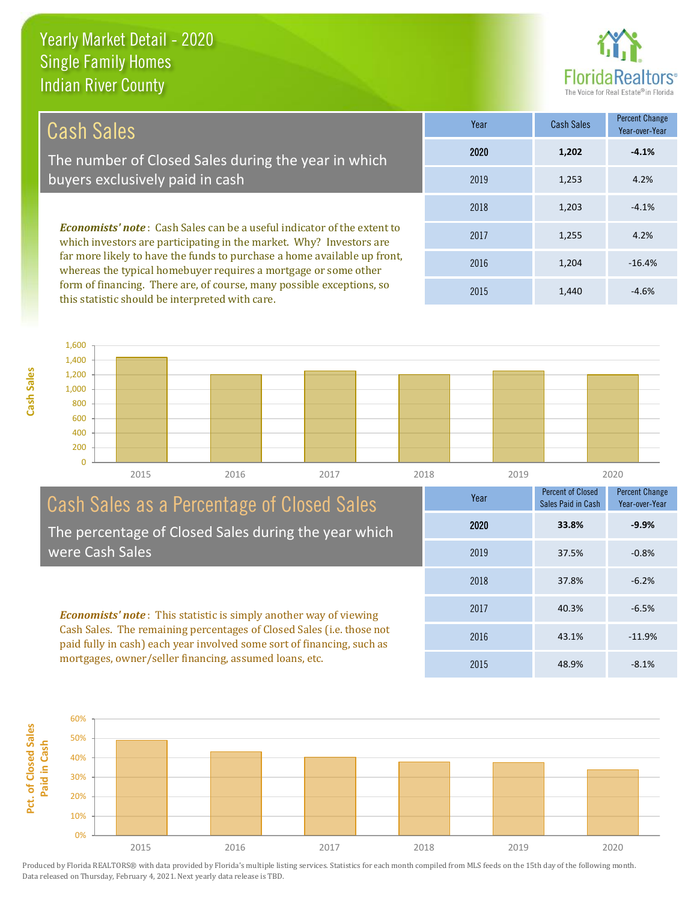this statistic should be interpreted with care.

**Cash Sales**



1,440 -4.6%

| Cash Sales                                                                                                                                                                                                                                                                                           | Year | <b>Cash Sales</b> | <b>Percent Change</b><br>Year-over-Year |
|------------------------------------------------------------------------------------------------------------------------------------------------------------------------------------------------------------------------------------------------------------------------------------------------------|------|-------------------|-----------------------------------------|
| The number of Closed Sales during the year in which                                                                                                                                                                                                                                                  | 2020 | 1,202             | $-4.1%$                                 |
| buyers exclusively paid in cash                                                                                                                                                                                                                                                                      | 2019 | 1,253             | 4.2%                                    |
|                                                                                                                                                                                                                                                                                                      | 2018 | 1,203             | $-4.1%$                                 |
| <b>Economists' note:</b> Cash Sales can be a useful indicator of the extent to<br>which investors are participating in the market. Why? Investors are<br>far more likely to have the funds to purchase a home available up front,<br>whereas the typical homebuyer requires a mortgage or some other | 2017 | 1,255             | 4.2%                                    |
|                                                                                                                                                                                                                                                                                                      | 2016 | 1.204             | $-16.4%$                                |
| form of financing. There are, of course, many possible exceptions, so                                                                                                                                                                                                                                | 0015 | $\overline{A}$    | $\sim$ $\sim$ $\sim$                    |

2015

 $\overline{0}$ 200 400 600 800 1,000 1,200 1,400 1,600 2015 2016 2017 2018 2019 2020

| Cash Sales as a Percentage of Closed Sales                                                                                                                                                                                                                                            | Year | <b>Percent of Closed</b><br>Sales Paid in Cash | <b>Percent Change</b><br>Year-over-Year |
|---------------------------------------------------------------------------------------------------------------------------------------------------------------------------------------------------------------------------------------------------------------------------------------|------|------------------------------------------------|-----------------------------------------|
| The percentage of Closed Sales during the year which                                                                                                                                                                                                                                  | 2020 | 33.8%                                          | $-9.9%$                                 |
| were Cash Sales                                                                                                                                                                                                                                                                       | 2019 | 37.5%                                          | $-0.8%$                                 |
| <b>Economists' note:</b> This statistic is simply another way of viewing<br>Cash Sales. The remaining percentages of Closed Sales (i.e. those not<br>paid fully in cash) each year involved some sort of financing, such as<br>mortgages, owner/seller financing, assumed loans, etc. | 2018 | 37.8%                                          | $-6.2%$                                 |
|                                                                                                                                                                                                                                                                                       | 2017 | 40.3%                                          | $-6.5%$                                 |
|                                                                                                                                                                                                                                                                                       | 2016 | 43.1%                                          | $-11.9%$                                |
|                                                                                                                                                                                                                                                                                       | 2015 | 48.9%                                          | $-8.1%$                                 |

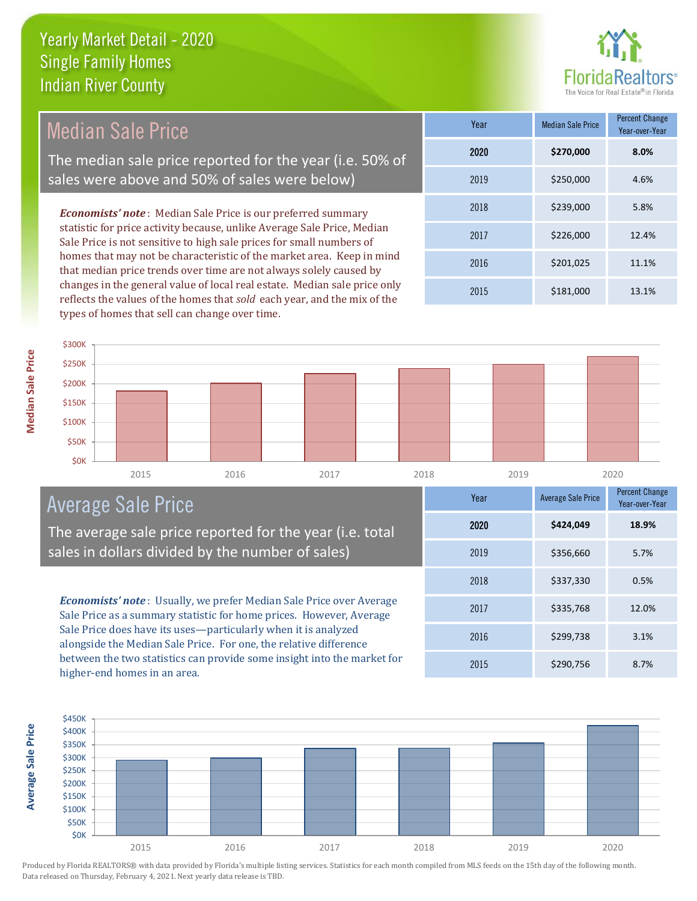

### Median Sale Price

The median sale price reported for the year (i.e. 50% of sales were above and 50% of sales were below)

*Economists' note* : Median Sale Price is our preferred summary statistic for price activity because, unlike Average Sale Price, Median Sale Price is not sensitive to high sale prices for small numbers of homes that may not be characteristic of the market area. Keep in mind that median price trends over time are not always solely caused by changes in the general value of local real estate. Median sale price only reflects the values of the homes that *sold* each year, and the mix of the types of homes that sell can change over time.

| Year | <b>Median Sale Price</b> | <b>Percent Change</b><br>Year-over-Year |
|------|--------------------------|-----------------------------------------|
| 2020 | \$270,000                | 8.0%                                    |
| 2019 | \$250,000                | 4.6%                                    |
| 2018 | \$239,000                | 5.8%                                    |
| 2017 | \$226,000                | 12.4%                                   |
| 2016 | \$201,025                | 11.1%                                   |
| 2015 | \$181,000                | 13.1%                                   |



#### Average Sale Price

The average sale price reported for the year (i.e. to sales in dollars divided by the number of sales)

**Economists' note**: Usually, we prefer Median Sale Price over Aver Sale Price as a summary statistic for home prices. However, Average Sale Price does have its uses—particularly when it is analyzed alongside the Median Sale Price. For one, the relative difference between the two statistics can provide some insight into the market higher-end homes in an area.

|             | Year | <b>Average Sale Price</b> | <b>Percent Change</b><br>Year-over-Year |
|-------------|------|---------------------------|-----------------------------------------|
| tal         | 2020 | \$424,049                 | 18.9%                                   |
| 2019        |      | \$356,660                 | 5.7%                                    |
|             | 2018 | \$337,330                 | 0.5%                                    |
| rage<br>ige | 2017 | \$335,768                 | 12.0%                                   |
|             | 2016 | \$299,738                 | 3.1%                                    |
| et for      | 2015 | \$290,756                 | 8.7%                                    |



Produced by Florida REALTORS® with data provided by Florida's multiple listing services. Statistics for each month compiled from MLS feeds on the 15th day of the following month. Data released on Thursday, February 4, 2021. Next yearly data release is TBD.

**Average Sale Price**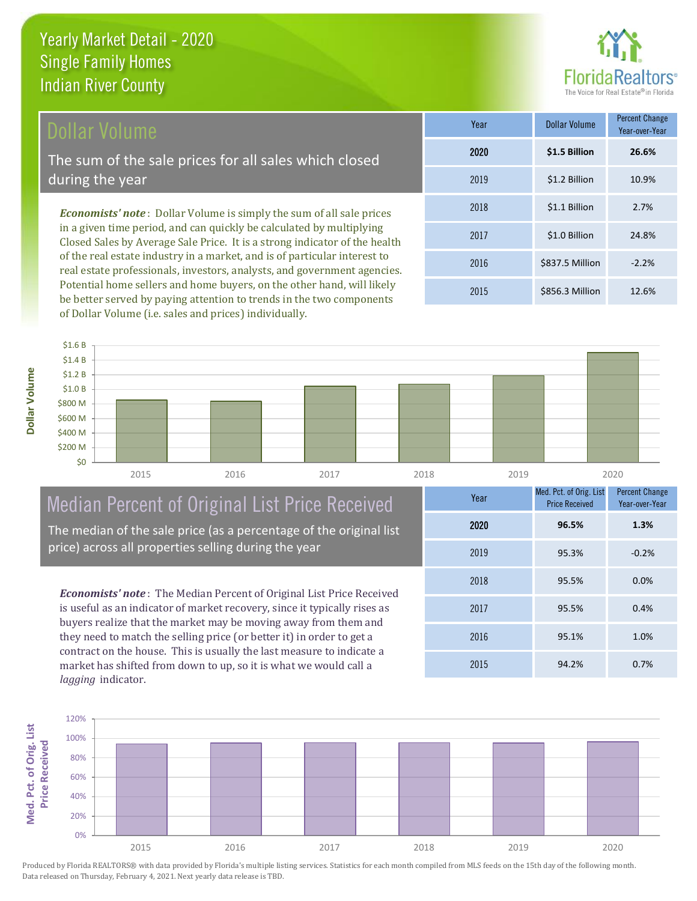#### Dollar Volume

The sum of the sale prices for all sales which closed during the year

*Economists' note* : Dollar Volume is simply the sum of all sale prices in a given time period, and can quickly be calculated by multiplying Closed Sales by Average Sale Price. It is a strong indicator of the health of the real estate industry in a market, and is of particular interest to real estate professionals, investors, analysts, and government agencies. Potential home sellers and home buyers, on the other hand, will likely be better served by paying attention to trends in the two components of Dollar Volume (i.e. sales and prices) individually.

| Year | <b>Dollar Volume</b> | <b>Percent Change</b><br>Year-over-Year |
|------|----------------------|-----------------------------------------|
| 2020 | \$1.5 Billion        | 26.6%                                   |
| 2019 | \$1.2 Billion        | 10.9%                                   |
| 2018 | \$1.1 Billion        | 2.7%                                    |
| 2017 | \$1.0 Billion        | 24.8%                                   |
| 2016 | \$837.5 Million      | $-2.2%$                                 |
| 2015 | \$856.3 Million      | 12.6%                                   |



### Median Percent of Original List Price Received

The median of the sale price (as a percentage of the original list price) across all properties selling during the year

*Economists' note* : The Median Percent of Original List Price Received is useful as an indicator of market recovery, since it typically rises as buyers realize that the market may be moving away from them and they need to match the selling price (or better it) in order to get a contract on the house. This is usually the last measure to indicate a market has shifted from down to up, so it is what we would call a *lagging* indicator.

| Year | Med. Pct. of Orig. List<br><b>Price Received</b> | <b>Percent Change</b><br>Year-over-Year |
|------|--------------------------------------------------|-----------------------------------------|
| 2020 | 96.5%                                            | 1.3%                                    |
| 2019 | 95.3%                                            | $-0.2%$                                 |
| 2018 | 95.5%                                            | 0.0%                                    |
| 2017 | 95.5%                                            | 0.4%                                    |
| 2016 | 95.1%                                            | 1.0%                                    |
| 2015 | 94.2%                                            | 0.7%                                    |

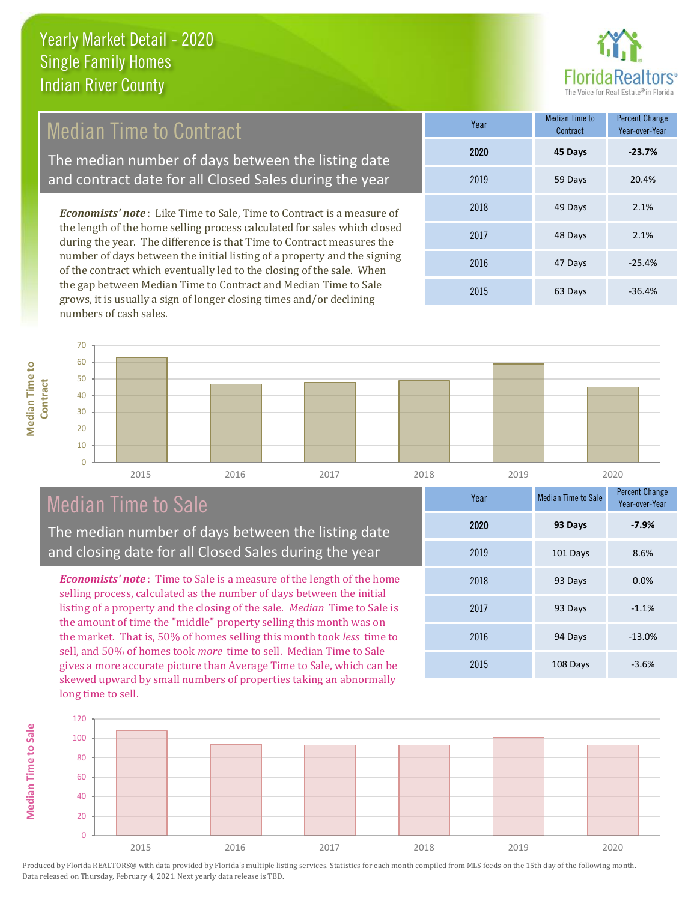

#### Median Time to Contract

The median number of days between the listing date and contract date for all Closed Sales during the year

*Economists' note* : Like Time to Sale, Time to Contract is a measure of the length of the home selling process calculated for sales which closed during the year. The difference is that Time to Contract measures the number of days between the initial listing of a property and the signing of the contract which eventually led to the closing of the sale. When the gap between Median Time to Contract and Median Time to Sale grows, it is usually a sign of longer closing times and/or declining numbers of cash sales.

| Year | <b>Median Time to</b><br>Contract | <b>Percent Change</b><br>Year-over-Year |
|------|-----------------------------------|-----------------------------------------|
| 2020 | 45 Days                           | $-23.7%$                                |
| 2019 | 59 Days                           | 20.4%                                   |
| 2018 | 49 Days                           | 2.1%                                    |
| 2017 | 48 Days                           | 2.1%                                    |
| 2016 | 47 Days                           | $-25.4%$                                |
| 2015 | 63 Days                           | $-36.4%$                                |



#### Median Time to Sale

**Median Time to** 

**Median Time to Sale** 

The median number of days between the listing date and closing date for all Closed Sales during the year

*Economists' note* : Time to Sale is a measure of the length of the home selling process, calculated as the number of days between the initial listing of a property and the closing of the sale. *Median* Time to Sale is the amount of time the "middle" property selling this month was on the market. That is, 50% of homes selling this month took *less* time to sell, and 50% of homes took *more* time to sell. Median Time to Sale gives a more accurate picture than Average Time to Sale, which can be skewed upward by small numbers of properties taking an abnormally long time to sell.

| Year | <b>Median Time to Sale</b> | <b>Percent Change</b><br>Year-over-Year |
|------|----------------------------|-----------------------------------------|
| 2020 | 93 Days                    | $-7.9%$                                 |
| 2019 | 101 Days                   | 8.6%                                    |
| 2018 | 93 Days                    | 0.0%                                    |
| 2017 | 93 Days                    | $-1.1%$                                 |
| 2016 | 94 Days                    | $-13.0%$                                |
| 2015 | 108 Days                   | $-3.6%$                                 |

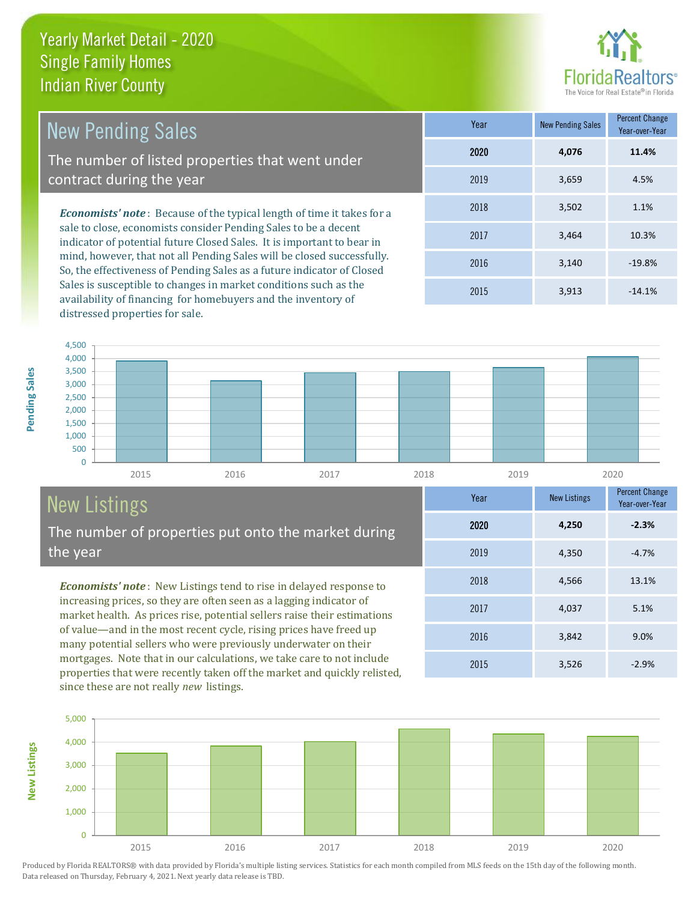

4,037 5.1%

Year-over-Year

**-2.3%**

**Year** New Listings Percent Change

2015 3,526 -2.9%

2016 3,842 9.0%

2018 4,566 13.1%

2019 4,350 -4.7%

2020 **4,250**

2017

| <b>New Pending Sales</b>                                                                                                                                                                       | Year | <b>New Pending Sales</b> | <b>Percent Change</b><br>Year-over-Year |
|------------------------------------------------------------------------------------------------------------------------------------------------------------------------------------------------|------|--------------------------|-----------------------------------------|
| The number of listed properties that went under                                                                                                                                                | 2020 | 4.076                    | 11.4%                                   |
| contract during the year                                                                                                                                                                       | 2019 | 3,659                    | 4.5%                                    |
| <b>Economists' note:</b> Because of the typical length of time it takes for a                                                                                                                  | 2018 | 3.502                    | 1.1%                                    |
| sale to close, economists consider Pending Sales to be a decent<br>indicator of potential future Closed Sales. It is important to bear in                                                      | 2017 | 3.464                    | 10.3%                                   |
| mind, however, that not all Pending Sales will be closed successfully.<br>$\sim$ 1 and 1 and 1 and 1 and 1 and 1 and 1 and 1 and 1 and 1 and 1 and 1 and 1 and 1 and 1 and 1 and 1 and 1 and 1 | 2016 | 3,140                    | $-19.8%$                                |

So, the effectiveness of Pending Sales as a future indicator of Closed Sales is susceptible to changes in market conditions such as the availability of financing for homebuyers and the inventory of distressed properties for sale.

|    | 2019 | 3,659 | 4.5%     |
|----|------|-------|----------|
| ۰a | 2018 | 3,502 | 1.1%     |
|    | 2017 | 3,464 | 10.3%    |
| y. | 2016 | 3,140 | $-19.8%$ |
|    | 2015 | 3,913 | $-14.1%$ |
|    |      |       |          |



## New Listings

**New Listings**

The number of properties put onto the market during the year

*Economists' note* : New Listings tend to rise in delayed response to increasing prices, so they are often seen as a lagging indicator of market health. As prices rise, potential sellers raise their estimations of value—and in the most recent cycle, rising prices have freed up many potential sellers who were previously underwater on their mortgages. Note that in our calculations, we take care to not include properties that were recently taken off the market and quickly relisted, since these are not really *new* listings.

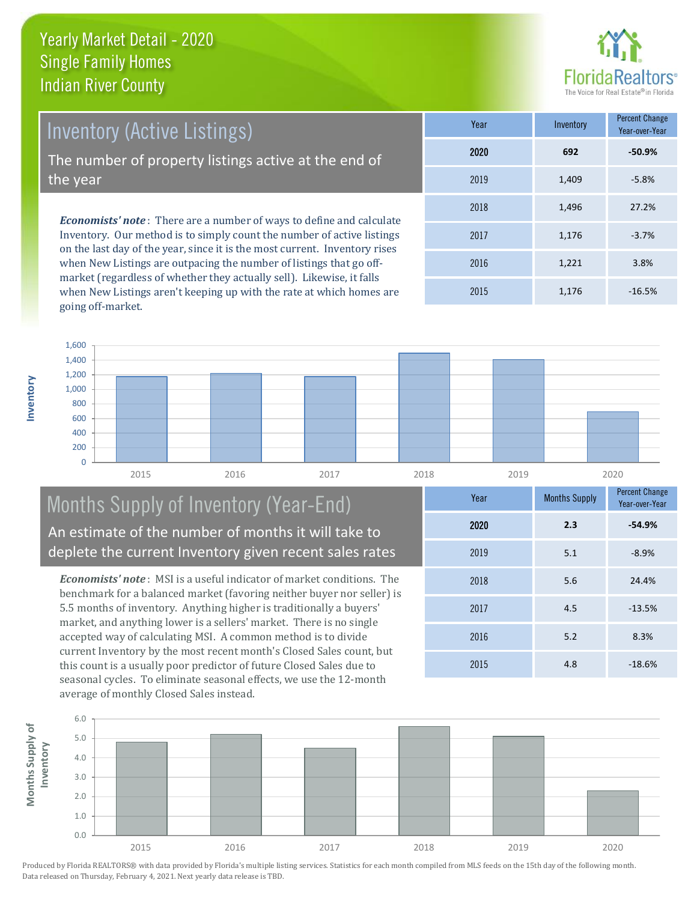

*Economists' note* : There are a number of ways to define and calculate Inventory. Our method is to simply count the number of active listings Inventory (Active Listings) The number of property listings active at the end of the year

on the last day of the year, since it is the most current. Inventory rises when New Listings are outpacing the number of listings that go offmarket (regardless of whether they actually sell). Likewise, it falls when New Listings aren't keeping up with the rate at which homes are going off-market.

| Year | Inventory | Percent Change<br>Year-over-Year |  |
|------|-----------|----------------------------------|--|
| 2020 | 692       | $-50.9%$                         |  |
| 2019 | 1,409     | $-5.8%$                          |  |
| 2018 | 1,496     | 27.2%                            |  |
| 2017 | 1,176     | $-3.7%$                          |  |
| 2016 | 1,221     | 3.8%                             |  |
| 2015 | 1,176     | $-16.5%$                         |  |



#### Months Supply of Inventory (Year-End) An estimate of the number of months it will take to deplete the current Inventory given recent sales rates

*Economists' note* : MSI is a useful indicator of market conditions. The benchmark for a balanced market (favoring neither buyer nor seller) is 5.5 months of inventory. Anything higher is traditionally a buyers' market, and anything lower is a sellers' market. There is no single accepted way of calculating MSI. A common method is to divide current Inventory by the most recent month's Closed Sales count, but this count is a usually poor predictor of future Closed Sales due to seasonal cycles. To eliminate seasonal effects, we use the 12-month average of monthly Closed Sales instead.



Produced by Florida REALTORS® with data provided by Florida's multiple listing services. Statistics for each month compiled from MLS feeds on the 15th day of the following month. Data released on Thursday, February 4, 2021. Next yearly data release is TBD.

**Year** Months Supply Percent Change

2018 5.6 24.4%

2017 4.5 -13.5%

2015 4.8 -18.6%

2016 5.2 8.3%

2019 5.1 -8.9%

2020 **2.3 -54.9%**

Year-over-Year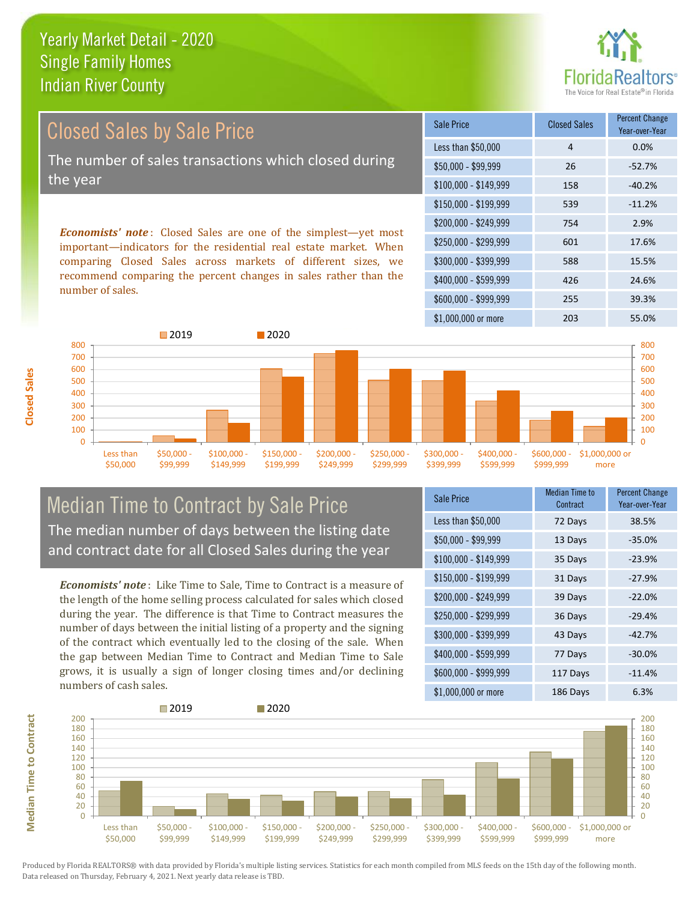

Year-over-Year

*Economists' note* : Closed Sales are one of the simplest—yet most \$150,000 - \$199,999 539 -11.2% \$200,000 - \$249,999 754 2.9% \$100,000 - \$149,999 158 -40.2% Sale Price Closed Sales Percent Change Less than \$50,000 1 4 0.0% \$50,000 - \$99,999 26 -52.7% Closed Sales by Sale Price The number of sales transactions which closed during the year

important—indicators for the residential real estate market. When comparing Closed Sales across markets of different sizes, we recommend comparing the percent changes in sales rather than the number of sales.



#### Median Time to Contract by Sale Price The median number of days between the listing date and contract date for all Closed Sales during the year

*Economists' note* : Like Time to Sale, Time to Contract is a measure of the length of the home selling process calculated for sales which closed during the year. The difference is that Time to Contract measures the number of days between the initial listing of a property and the signing of the contract which eventually led to the closing of the sale. When the gap between Median Time to Contract and Median Time to Sale grows, it is usually a sign of longer closing times and/or declining numbers of cash sales.

| Sale Price            | <b>Median Time to</b><br>Contract | <b>Percent Change</b><br>Year-over-Year |
|-----------------------|-----------------------------------|-----------------------------------------|
| Less than \$50,000    | 72 Days                           | 38.5%                                   |
| \$50,000 - \$99,999   | 13 Days                           | $-35.0%$                                |
| $$100,000 - $149,999$ | 35 Days                           | $-23.9%$                                |
| $$150,000 - $199,999$ | 31 Days                           | $-27.9%$                                |
| \$200,000 - \$249,999 | 39 Days                           | $-22.0%$                                |
| \$250,000 - \$299,999 | 36 Days                           | $-29.4%$                                |
| \$300,000 - \$399,999 | 43 Days                           | $-42.7%$                                |
| \$400,000 - \$599,999 | 77 Days                           | $-30.0%$                                |
| \$600,000 - \$999,999 | 117 Days                          | $-11.4%$                                |
| \$1,000,000 or more   | 186 Days                          | 6.3%                                    |

\$250,000 - \$299,999 601 17.6% \$300,000 - \$399,999 588 15.5%

\$400,000 - \$599,999 426 24.6%



Produced by Florida REALTORS® with data provided by Florida's multiple listing services. Statistics for each month compiled from MLS feeds on the 15th day of the following month. Data released on Thursday, February 4, 2021. Next yearly data release is TBD.

**Median Time to Contract Median Time to Contract**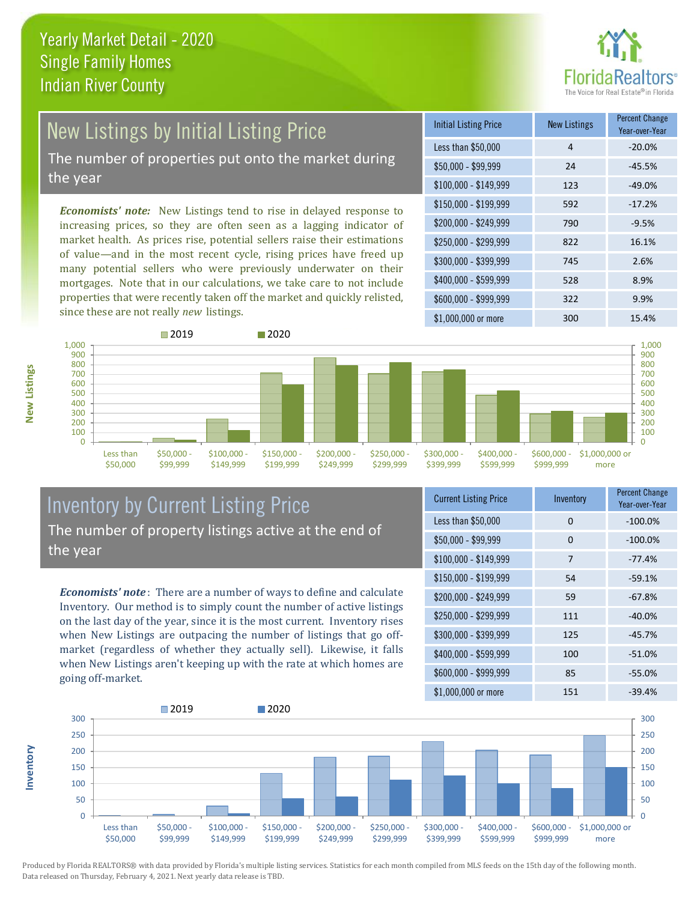

# New Listings by Initial Listing Price

The number of properties put onto the market during the year

*Economists' note:* New Listings tend to rise in delayed response to increasing prices, so they are often seen as a lagging indicator of market health. As prices rise, potential sellers raise their estimations of value—and in the most recent cycle, rising prices have freed up many potential sellers who were previously underwater on their mortgages. Note that in our calculations, we take care to not include properties that were recently taken off the market and quickly relisted, since these are not really *new* listings.

| <b>Initial Listing Price</b> | <b>New Listings</b> | <b>Percent Change</b><br>Year-over-Year |
|------------------------------|---------------------|-----------------------------------------|
| Less than \$50,000           | 4                   | $-20.0%$                                |
| $$50,000 - $99,999$          | 24                  | $-45.5%$                                |
| $$100,000 - $149,999$        | 123                 | $-49.0%$                                |
| $$150,000 - $199,999$        | 592                 | $-17.2%$                                |
| \$200,000 - \$249,999        | 790                 | $-9.5%$                                 |
| \$250,000 - \$299,999        | 822                 | 16.1%                                   |
| \$300,000 - \$399,999        | 745                 | 2.6%                                    |
| \$400,000 - \$599,999        | 528                 | 8.9%                                    |
| \$600,000 - \$999,999        | 322                 | 9.9%                                    |
| \$1,000,000 or more          | 300                 | 15.4%                                   |



#### Inventory by Current Listing Price The number of property listings active at the end of the year

*Economists' note* : There are a number of ways to define and calculate Inventory. Our method is to simply count the number of active listings on the last day of the year, since it is the most current. Inventory rises when New Listings are outpacing the number of listings that go offmarket (regardless of whether they actually sell). Likewise, it falls when New Listings aren't keeping up with the rate at which homes are going off-market.

| <b>Current Listing Price</b> | Inventory | Percent Change<br>Year-over-Year |
|------------------------------|-----------|----------------------------------|
| Less than \$50,000           | 0         | $-100.0%$                        |
| $$50,000 - $99,999$          | 0         | $-100.0%$                        |
| $$100,000 - $149,999$        | 7         | $-77.4%$                         |
| $$150,000 - $199,999$        | 54        | $-59.1%$                         |
| \$200,000 - \$249,999        | 59        | $-67.8%$                         |
| \$250,000 - \$299,999        | 111       | $-40.0%$                         |
| \$300,000 - \$399,999        | 125       | $-45.7%$                         |
| \$400,000 - \$599,999        | 100       | $-51.0%$                         |
| \$600,000 - \$999,999        | 85        | $-55.0%$                         |
| \$1,000,000 or more          | 151       | $-39.4%$                         |



Produced by Florida REALTORS® with data provided by Florida's multiple listing services. Statistics for each month compiled from MLS feeds on the 15th day of the following month. Data released on Thursday, February 4, 2021. Next yearly data release is TBD.

**Inventory**